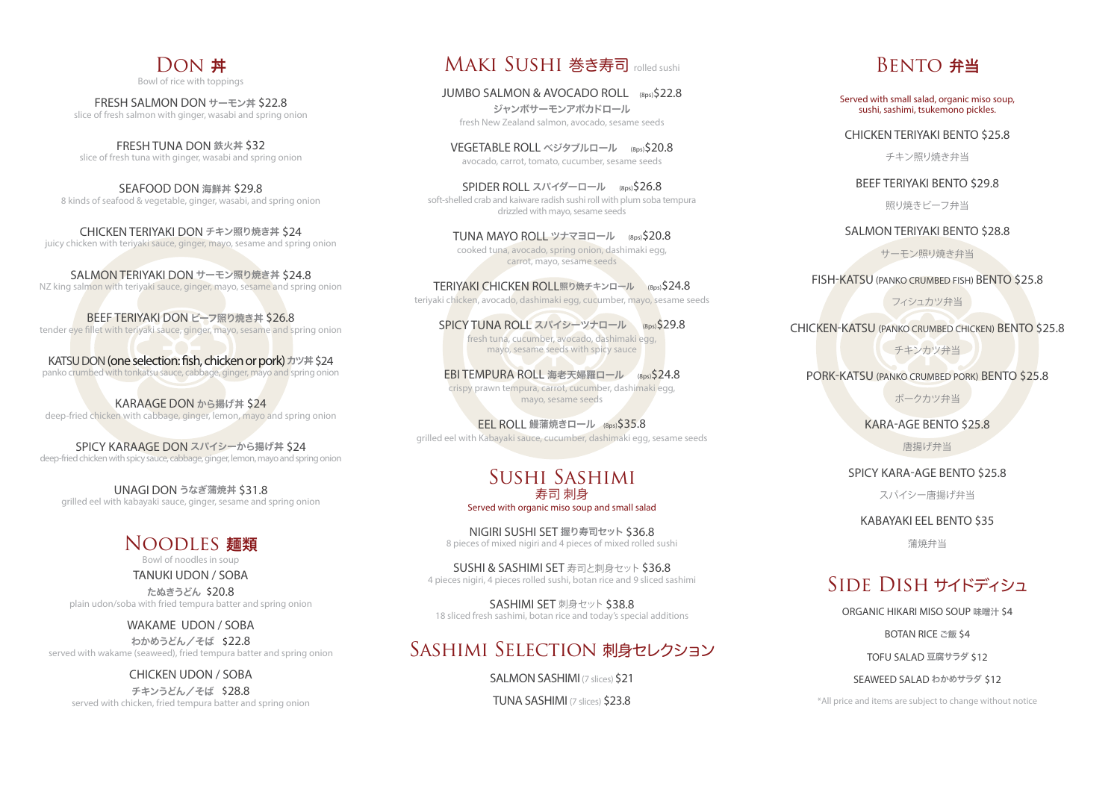# DON **#**

*Bowl of rice with toppings*

**FRESH SALMON DON** サーモン丼 \$22.8 *slice of fresh salmon with ginger, wasabi and spring onion*

**FRESH TUNA DON** 鉄火丼 \$32 *slice of fresh tuna with ginger, wasabi and spring onion*

**SEAFOOD DON** 海鮮丼 **\$29.8** *8 kinds of seafood & vegetable, ginger, wasabi, and spring onion*

**CHICKEN TERIYAKI DON** チキン照り焼き丼 **\$24** *juicy chicken with teriyaki sauce, ginger, mayo, sesame and spring onion*

**SALMON TERIYAKI DON** サーモン照り焼き丼 **\$24.8** *NZ king salmon with teriyaki sauce, ginger, mayo, sesame and spring onion*

**BEEF TERIYAKI DON** ビーフ照り焼き丼 **\$26.8** *tender eye llet with teriyaki sauce, ginger, mayo, sesame and spring onion*

**KATSU DON** (one selection: fish, chicken or pork) カツ丼 \$24 *panko crumbed with tonkatsu sauce, cabbage, ginger, mayo and spring onion*

**KARAAGE DON** から揚げ丼 **\$24** *deep-fried chicken with cabbage, ginger, lemon, mayo and spring onion*

**SPICY KARAAGE DON** スパイシーから揚げ丼 **\$24** *deep-fried chicken with spicy sauce, cabbage, ginger, lemon, mayo and spring onion*

**UNAGI DON** うなぎ蒲焼丼 **\$31.8** *grilled eel with kabayaki sauce, ginger, sesame and spring onion*

## Noodles 麺類

*Bowl of noodles in soup* **TANUKI UDON / SOBA** 

たぬきうどん\$20.8 *plain udon/soba with fried tempura batter and spring onion*

**WAKAME UDON / SOBA** わかめうどん/そば\$22.8 *served with wakame (seaweed), fried tempura batter and spring onion*

**CHICKEN UDON / SOBA** チキンうどん/そば\$28.8 *served with chicken, fried tempura batter and spring onion*

### Maki Sushi 巻き寿司 *rolled sushi*

**JUMBO SALMON & AVOCADO ROLL** (8ps)\$22.8 ジャンボサーモンアボカドロール *fresh New Zealand salmon, avocado, sesame seeds*

**VEGETABLE ROLL** ベジタブルロール(8ps)\$20.8 *avocado, carrot, tomato, cucumber, sesame seeds*

**SPIDER ROLL** スパイダーロール(8ps)\$26.8 *soft-shelled crab and kaiware radish sushi roll with plum soba tempura drizzled with mayo, sesame seeds*

**TUNA MAYO ROLL** ツナマヨロール(8ps)\$20.8 *cooked tuna, avocado, spring onion, dashimaki egg, carrot, mayo, sesame seeds*

**TERIYAKI CHICKEN ROLL**照り焼チキンロール(8ps)\$24.8

*teriyaki chicken, avocado, dashimaki egg, cucumber, mayo, sesame seeds*

**SPICY TUNA ROLL** スパイシーツナロール(8ps)\$29.8 *fresh tuna, cucumber, avocado, dashimaki egg, mayo, sesame seeds with spicy sauce*

**EBI TEMPURA ROLL** 海老天婦羅ロール(8ps)\$24.8 *crispy prawn tempura, carrot, cucumber, dashimaki egg, mayo, sesame seeds*

**EEL ROLL 鰻蒲焼きロール (8ps) \$35.8** *grilled eel with Kabayaki sauce, cucumber, dashimaki egg, sesame seeds*

#### Sushi Sashimi 寿司 刺身 *Served with organic miso soup and small salad*

**NIGIRI SUSHI SET** 握り寿司セット **\$36.8** *8 pieces of mixed nigiri and 4 pieces of mixed rolled sushi*

**SUSHI & SASHIMI SET** 寿司と刺身セット **\$36.8** *4 pieces nigiri, 4 pieces rolled sushi, botan rice and 9 sliced sashimi*

**SASHIMI SET** 刺身セット **\$38.8** *18 sliced fresh sashimi, botan rice and today's special additions*

## SASHIMI SELECTION 刺身セレクション

**SALMON SASHIMI** *(7 slices)* \$21

**TUNA SASHIMI** *(7 slices)* \$23.8

## **BENTO 弁当**

*Served with small salad, organic miso soup, sushi, sashimi, tsukemono pickles.*

**CHICKEN TERIYAKI BENTO \$25.8**

チキン照り焼き弁当

**BEEF TERIYAKI BENTO \$29.8**

照り焼きビーフ弁当

**SALMON TERIYAKI BENTO \$28.8**

サーモン照り焼き弁当

**FISH-KATSU (PANKO CRUMBED FISH) BENTO \$25.8**

フィシュカツ弁当

**CHICKEN-KATSU (PANKO CRUMBED CHICKEN) BENTO \$25.8**

チキンカツ弁当

**PORK-KATSU (PANKO CRUMBED PORK) BENTO \$25.8**

ポークカツ弁当

**KARA-AGE BENTO \$25.8**

唐揚げ弁当

**SPICY KARA-AGE BENTO \$25.8**

スパイシー唐揚げ弁当

**KABAYAKI EEL BENTO \$35**

蒲焼弁当

# SIDE DISH サイドディシュ

**ORGANIC HIKARI MISO SOUP** 味噌汁 **\$4**

**BOTAN RICE ご飯 \$4** 

**TOFU SALAD** 豆腐サラダ **\$12**

**SEAWEED SALAD** わかめサラダ **\$12**

*\*All price and items are subject to change without notice*